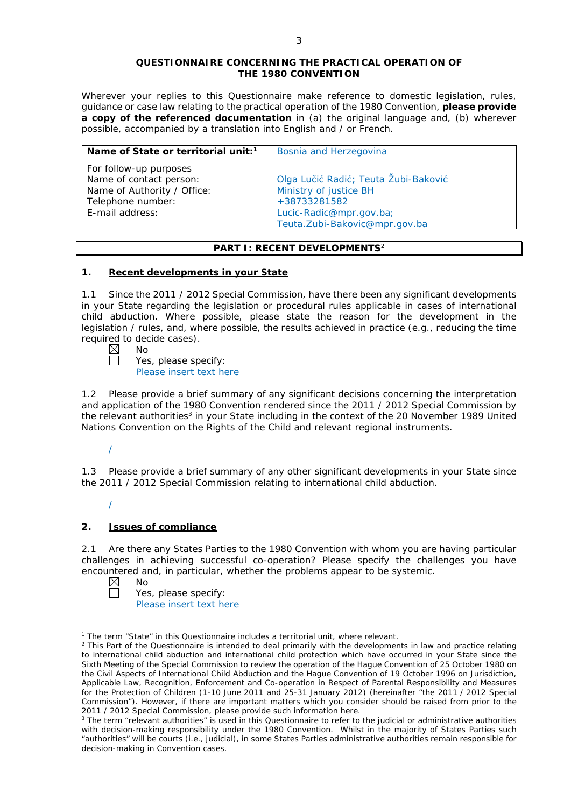#### **QUESTIONNAIRE CONCERNING THE PRACTICAL OPERATION OF THE 1980 CONVENTION**

*Wherever your replies to this Questionnaire make reference to domestic legislation, rules, guidance or case law relating to the practical operation of the 1980 Convention, please provide a copy of the referenced documentation in (a) the original language and, (b) wherever possible, accompanied by a translation into English and / or French.* 

| Name of State or territorial unit: <sup>1</sup>   | Bosnia and Herzegovina                        |
|---------------------------------------------------|-----------------------------------------------|
| For follow-up purposes<br>Name of contact person: | Olga Lučić Radić; Teuta Žubi-Baković          |
| Name of Authority / Office:                       | Ministry of justice BH                        |
| E-mail address:                                   | Lucic-Radic@mpr.gov.ba;                       |
| Telephone number:                                 | +38733281582<br>Teuta.Zubi-Bakovic@mpr.gov.ba |

# **PART I: RECENT DEVELOPMENTS**<sup>2</sup>

## **1. Recent developments in your State**

1.1 Since the 2011 / 2012 Special Commission, have there been any significant developments in your State regarding the legislation or procedural rules applicable in cases of international child abduction. Where possible, please state the reason for the development in the legislation / rules, and, where possible, the results achieved in practice (*e.g.*, reducing the time required to decide cases).<br>  $\boxtimes$  No<br>  $\Box$  Yes. please spectrum

| í<br>v. | ∿ |
|---------|---|
|         |   |

Yes, please specify: Please insert text here

1.2 Please provide a brief summary of any significant decisions concerning the interpretation and application of the 1980 Convention rendered since the 2011 / 2012 Special Commission by the relevant authorities<sup>3</sup> in your State including in the context of the 20 November 1989 United Nations Convention on the Rights of the Child and relevant regional instruments.

# /

/

1.3 Please provide a brief summary of any other significant developments in your State since the 2011 / 2012 Special Commission relating to international child abduction.

# **2. Issues of compliance**

2.1 Are there any States Parties to the 1980 Convention with whom you are having particular challenges in achieving successful co-operation? Please specify the challenges you have encountered and, in particular, whether the problems appear to be systemic.<br>  $\boxtimes$  No<br>
Yes. please specify:

<u>.</u>

No Yes, please specify:

Please insert text here

<sup>&</sup>lt;sup>1</sup> The term "State" in this Questionnaire includes a territorial unit, where relevant.

 $<sup>2</sup>$  This Part of the Questionnaire is intended to deal primarily with the developments in law and practice relating</sup> to international child abduction and international child protection which have occurred in your State since the Sixth Meeting of the Special Commission to review the operation of the *Hague Convention of 25 October 1980 on the Civil Aspects of International Child Abduction* and the *Hague Convention of 19 October 1996 on Jurisdiction, Applicable Law, Recognition, Enforcement and Co-operation in Respect of Parental Responsibility and Measures for the Protection of Children* (1-10 June 2011 and 25-31 January 2012) (hereinafter "the 2011 / 2012 Special Commission"). However, if there are important matters which you consider should be raised from *prior to* the 2011 / 2012 Special Commission, please provide such information here.

<sup>&</sup>lt;sup>3</sup> The term "relevant authorities" is used in this Questionnaire to refer to the judicial or administrative authorities with decision-making responsibility under the 1980 Convention. Whilst in the majority of States Parties such "authorities" will be courts (*i.e.*, judicial), in some States Parties administrative authorities remain responsible for decision-making in Convention cases.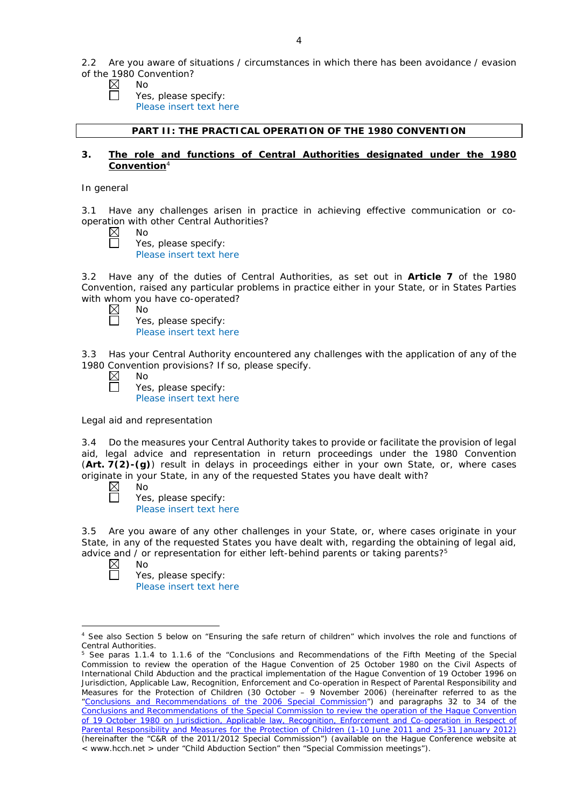2.2 Are you aware of situations / circumstances in which there has been avoidance / evasion of the 1980 Convention?

- $\boxtimes$ No
	- Yes, please specify: Please insert text here

#### **PART II: THE PRACTICAL OPERATION OF THE 1980 CONVENTION**

### **3. The role and functions of Central Authorities designated under the 1980 Convention**<sup>4</sup>

#### *In general*

3.1 Have any challenges arisen in practice in achieving effective communication or cooperation with other Central Authorities?

No Yes, please specify: Please insert text here

3.2 Have any of the duties of Central Authorities, as set out in **Article 7** of the 1980 Convention, raised any particular problems in practice either in your State, or in States Parties with whom you have co-operated?

| $\boxtimes$  | ,<br>--<br>No | . |
|--------------|---------------|---|
| $\mathbf{L}$ | Yes, p        |   |
|              | Dloace        |   |

blease specify: Please insert text here

3.3 Has your Central Authority encountered any challenges with the application of any of the 1980 Convention provisions? If so, please specify.

Yes, please specify: Please insert text here

*Legal aid and representation*

No

3.4 Do the measures your Central Authority takes to provide or facilitate the provision of legal aid, legal advice and representation in return proceedings under the 1980 Convention (**Art. 7(2)-(g)**) result in delays in proceedings either in your own State, or, where cases originate in your State, in any of the requested States you have dealt with?

 $\boxtimes$ No  $\Box$ 

Yes, please specify: Please insert text here

3.5 Are you aware of any other challenges in your State, or, where cases originate in your State, in any of the requested States you have dealt with, regarding the obtaining of legal aid, advice and / or representation for either left-behind parents or taking parents?<sup>5</sup>

 $\boxtimes$ No 帀

<u>.</u>

Yes, please specify: Please insert text here

<sup>4</sup> See also Section 5 below on "Ensuring the safe return of children" which involves the role and functions of Central Authorities.

<sup>&</sup>lt;sup>5</sup> See paras 1.1.4 to 1.1.6 of the "Conclusions and Recommendations of the Fifth Meeting of the Special Commission to review the operation of the *Hague Convention of 25 October 1980 on the Civil Aspects of International Child Abduction* and the practical implementation of the *Hague Convention of 19 October 1996 on Jurisdiction, Applicable Law, Recognition, Enforcement and Co-operation in Respect of Parental Responsibility and Measures for the Protection of Children* (30 October – 9 November 2006) (hereinafter referred to as the ["Conclusions and Recommendations of the 2006 Special Commission"](https://assets.hcch.net/upload/concl28sc5_e.pdf)) and paragraphs 32 to 34 of the [Conclusions and Recommendations of the Special Commission](https://assets.hcch.net/upload/wop/concl28sc6_e.pdf) to review the operation of the Hague Convention of *[19 October 1980 on Jurisdiction, Applicable law, Recognition, Enforcement and Co-operation in Respect of](https://assets.hcch.net/upload/wop/concl28sc6_e.pdf)  [Parental Responsibility and Measures for the Protection of Children](https://assets.hcch.net/upload/wop/concl28sc6_e.pdf)* (1-10 June 2011 and 25-31 January 2012) (hereinafter the "C&R of the 2011/2012 Special Commission") (available on the Hague Conference website at < www.hcch.net > under "Child Abduction Section" then "Special Commission meetings").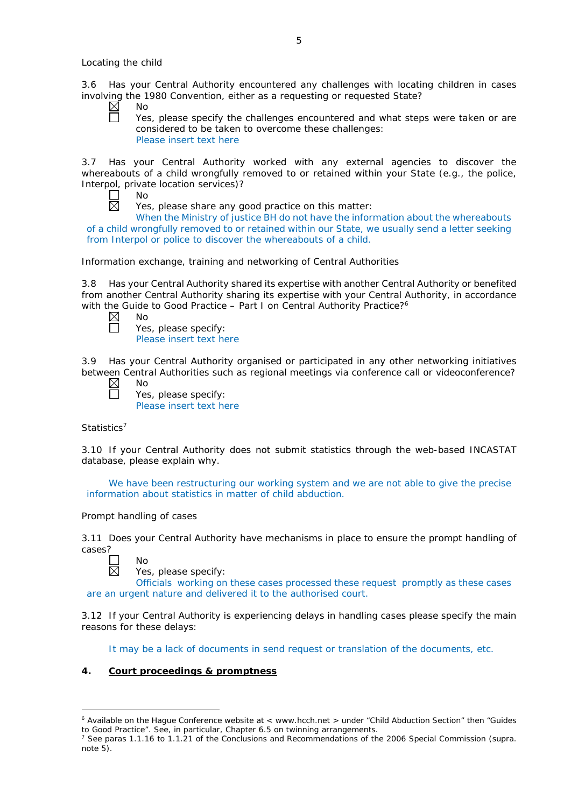3.6 Has your Central Authority encountered any challenges with locating children in cases involving the 1980 Convention, either as a requesting or requested State?

 $\boxtimes$ No

Yes, please specify the challenges encountered and what steps were taken or are considered to be taken to overcome these challenges: Please insert text here

3.7 Has your Central Authority worked with any external agencies to discover the whereabouts of a child wrongfully removed to or retained within your State (*e.g.*, the police, Interpol, private location services)?

| חו     |
|--------|
| ×<br>- |

Yes, please share any good practice on this matter:

When the Ministry of justice BH do not have the information about the whereabouts of a child wrongfully removed to or retained within our State, we usually send a letter seeking from Interpol or police to discover the whereabouts of a child.

*Information exchange, training and networking of Central Authorities*

3.8 Has your Central Authority shared its expertise with another Central Authority or benefited from another Central Authority sharing its expertise with your Central Authority, in accordance with the Guide to Good Practice – Part I on Central Authority Practice?<sup>6</sup>

No

Yes, please specify: Please insert text here

3.9 Has your Central Authority organised or participated in any other networking initiatives between Central Authorities such as regional meetings via conference call or videoconference? No

 $\boxtimes$ 

Yes, please specify: Please insert text here

# *Statistics*<sup>7</sup>

3.10 If your Central Authority does not submit statistics through the web-based INCASTAT database, please explain why.

We have been restructuring our working system and we are not able to give the precise information about statistics in matter of child abduction.

# *Prompt handling of cases*

No

3.11 Does your Central Authority have mechanisms in place to ensure the prompt handling of cases?



-

Yes, please specify:

Officials working on these cases processed these request promptly as these cases are an urgent nature and delivered it to the authorised court.

3.12 If your Central Authority is experiencing delays in handling cases please specify the main reasons for these delays:

It may be a lack of documents in send request or translation of the documents, etc.

# **4. Court proceedings & promptness**

<sup>6</sup> Available on the Hague Conference website at < www.hcch.net > under "Child Abduction Section" then "Guides to Good Practice". See, in particular, Chapter 6.5 on twinning arrangements.

<sup>7</sup> See paras 1.1.16 to 1.1.21 of the Conclusions and Recommendations of the 2006 Special Commission (*supra.*  note  $5$ ).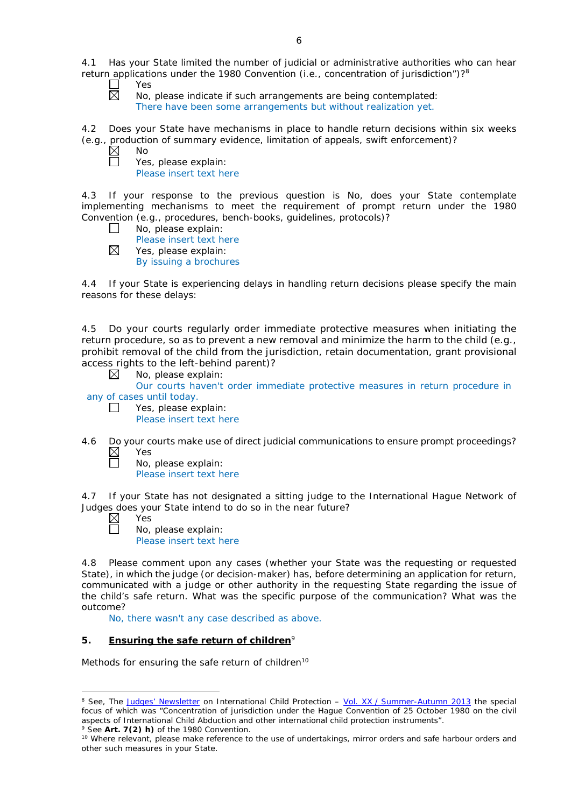4.1 Has your State limited the number of judicial or administrative authorities who can hear return applications under the 1980 Convention (*i.e.*, concentration of jurisdiction")?8

- ┌ Yes  $\overline{\boxtimes}$ 
	- No, please indicate if such arrangements are being contemplated: There have been some arrangements but without realization yet.

4.2 Does your State have mechanisms in place to handle return decisions within six weeks (*e.g.*, production of summary evidence, limitation of appeals, swift enforcement)?

 $\boxtimes$ No

 $\Box$ 

Yes, please explain: Please insert text here

4.3 If your response to the previous question is No, does your State contemplate implementing mechanisms to meet the requirement of prompt return under the 1980 Convention (*e.g.*, procedures, bench-books, guidelines, protocols)?

- $\Box$ No, please explain: Please insert text here
- $\boxtimes$ Yes, please explain: By issuing a brochures

4.4 If your State is experiencing delays in handling return decisions please specify the main reasons for these delays:

4.5 Do your courts regularly order immediate protective measures when initiating the return procedure, so as to prevent a new removal and minimize the harm to the child (*e.g.*, prohibit removal of the child from the jurisdiction, retain documentation, grant provisional access rights to the left-behind parent)?

⊠ No, please explain:

Our courts haven't order immediate protective measures in return procedure in any of cases until today.

- $\perp$ Yes, please explain:
	- Please insert text here

4.6 Do your courts make use of direct judicial communications to ensure prompt proceedings?<br>  $\boxtimes$  Yes Yes  $\Box$ 

No, please explain: Please insert text here

4.7 If your State has not designated a sitting judge to the International Hague Network of Judges does your State intend to do so in the near future?

 $\boxtimes$ Yes

П

-

No, please explain: Please insert text here

4.8 Please comment upon any cases (whether your State was the requesting or requested State), in which the judge (or decision-maker) has, before determining an application for return, communicated with a judge or other authority in the requesting State regarding the issue of the child's safe return. What was the specific purpose of the communication? What was the outcome?

No, there wasn't any case described as above.

# **5. Ensuring the safe return of children**<sup>9</sup>

*Methods for ensuring the safe return of children*<sup>10</sup>

<sup>8</sup> See, *The [Judges' Newsletter](https://www.hcch.net/en/instruments/conventions/publications2/judges-newsletter)* on International Child Protection – Vol. XX / [Summer-Autumn 2013](https://assets.hcch.net/upload/newsletter/nl2013tome20en.pdf) the special focus of which was "Concentration of jurisdiction under the *Hague Convention of 25 October 1980 on the civil aspects of International Child Abduction* and other international child protection instruments". <sup>9</sup> See **Art. 7(2)** *h)* of the 1980 Convention.

<sup>10</sup> Where relevant, please make reference to the use of undertakings, mirror orders and safe harbour orders and other such measures in your State.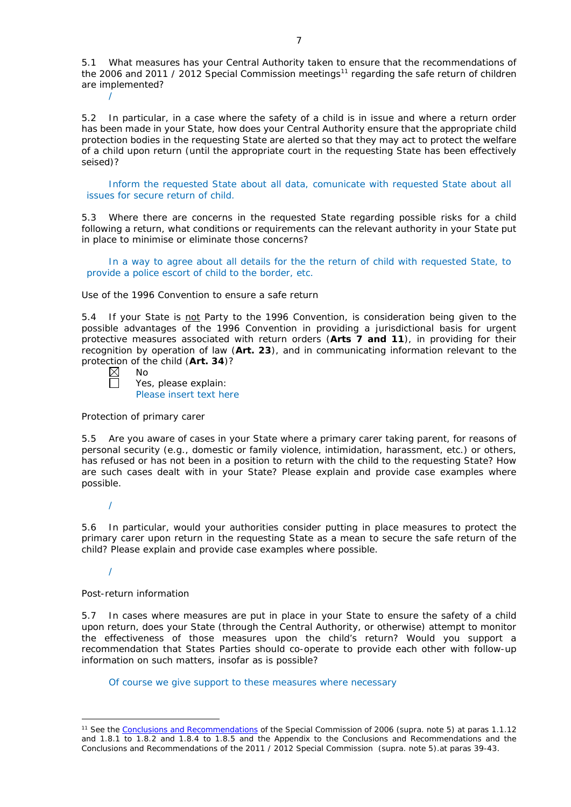5.1 What measures has your Central Authority taken to ensure that the recommendations of the 2006 and 2011 / 2012 Special Commission meetings<sup>11</sup> regarding the safe return of children are implemented?

5.2 In particular, in a case where the safety of a child is in issue and where a return order has been made in your State, how does your Central Authority ensure that the appropriate child protection bodies in the *requesting* State are alerted so that they may act to protect the welfare of a child upon return (until the appropriate court in the requesting State has been effectively seised)?

Inform the requested State about all data, comunicate with requested State about all issues for secure return of child.

5.3 Where there are concerns in the requested State regarding possible risks for a child following a return, what conditions or requirements can the relevant authority in your State put in place to minimise or eliminate those concerns?

In a way to agree about all details for the the return of child with requested State, to provide a police escort of child to the border, etc.

#### *Use of the 1996 Convention to ensure a safe return*

5.4 If your State is not Party to the 1996 Convention, is consideration being given to the possible advantages of the 1996 Convention in providing a jurisdictional basis for urgent protective measures associated with return orders (**Arts 7 and 11**), in providing for their recognition by operation of law (**Art. 23**), and in communicating information relevant to the protection of the child (**Art. 34**)?

| חוח |
|-----|
|     |

/

Yes, please explain: Please insert text here

*Protection of primary carer*

5.5 Are you aware of cases in your State where a primary carer taking parent, for reasons of personal security (*e.g.*, domestic or family violence, intimidation, harassment, etc.) or others, has refused or has not been in a position to return with the child to the requesting State? How are such cases dealt with in your State? Please explain and provide case examples where possible.

/

5.6 In particular, would your authorities consider putting in place measures to protect the primary carer upon return in the requesting State as a mean to secure the safe return of the child? Please explain and provide case examples where possible.

/

-

### *Post-return information*

5.7 In cases where measures are put in place in your State to ensure the safety of a child upon return, does your State (through the Central Authority, or otherwise) attempt to monitor the effectiveness of those measures upon the child's return? Would you support a recommendation that States Parties should co-operate to provide each other with follow-up information on such matters, insofar as is possible?

Of course we give support to these measures where necessary

<sup>11</sup> See the [Conclusions and Recommendations](https://assets.hcch.net/upload/concl28sc5_e.pdf) of the Special Commission of 2006 (*supra.* note 5) at paras 1.1.12 and 1.8.1 to 1.8.2 and 1.8.4 to 1.8.5 and the Appendix to the Conclusions and Recommendations and the [Conclusions and Recommendations of the 2011](https://assets.hcch.net/upload/wop/concl28sc6_e.pdf) / 2012 Special Commission (*supra.* note 5).at paras 39-43.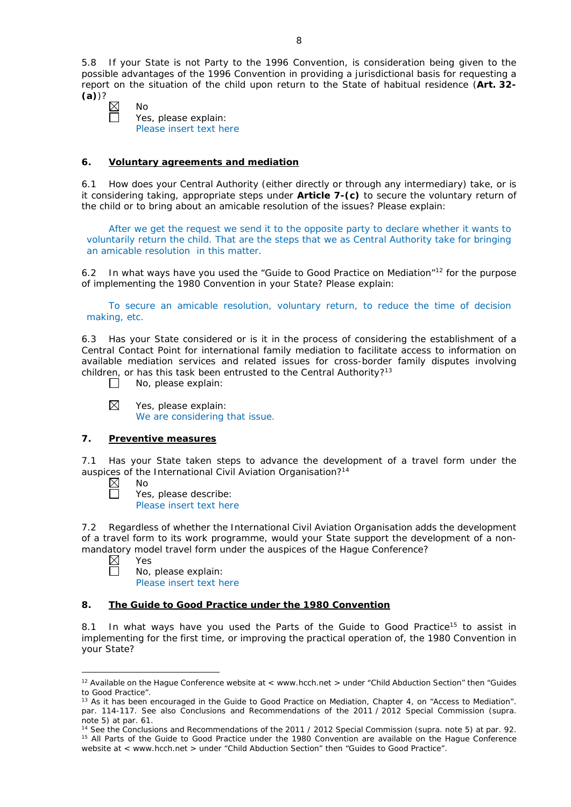5.8 If your State is not Party to the 1996 Convention, is consideration being given to the possible advantages of the 1996 Convention in providing a jurisdictional basis for requesting a report on the situation of the child upon return to the State of habitual residence (**Art. 32- (a)**)?

No Yes, please explain: Please insert text here

### **6. Voluntary agreements and mediation**

6.1 How does your Central Authority (either directly or through any intermediary) take, or is it considering taking, appropriate steps under **Article 7-(c)** to secure the voluntary return of the child or to bring about an amicable resolution of the issues? Please explain:

After we get the request we send it to the opposite party to declare whether it wants to voluntarily return the child. That are the steps that we as Central Authority take for bringing an amicable resolution in this matter.

6.2 In what ways have you used the "Guide to Good Practice on Mediation"12 for the purpose of implementing the 1980 Convention in your State? Please explain:

To secure an amicable resolution, voluntary return, to reduce the time of decision making, etc.

6.3 Has your State considered or is it in the process of considering the establishment of a Central Contact Point for international family mediation to facilitate access to information on available mediation services and related issues for cross-border family disputes involving children, or has this task been entrusted to the Central Authority?<sup>13</sup>

 $\Box$ No, please explain:

 $\boxtimes$ Yes, please explain: We are considering that issue.

#### **7. Preventive measures**

7.1 Has your State taken steps to advance the development of a travel form under the auspices of the International Civil Aviation Organisation?<sup>14</sup>

 $\boxtimes$ No

Г

Yes, please describe: Please insert text here

7.2 Regardless of whether the International Civil Aviation Organisation adds the development of a travel form to its work programme, would your State support the development of a nonmandatory model travel form under the auspices of the Hague Conference?

 $\boxtimes$ Yes П

No, please explain: Please insert text here

# **8. The Guide to Good Practice under the 1980 Convention**

8.1 In what ways have you used the Parts of the Guide to Good Practice<sup>15</sup> to assist in implementing for the first time, or improving the practical operation of, the 1980 Convention in your State?

<sup>&</sup>lt;u>.</u> <sup>12</sup> Available on the Haque Conference website at < www.hcch.net > under "Child Abduction Section" then "Guides to Good Practice".

<sup>&</sup>lt;sup>13</sup> As it has been encouraged in the Guide to Good Practice on Mediation, Chapter 4, on "Access to Mediation". par. 114-117. See also [Conclusions and Recommendations of the 2011](https://assets.hcch.net/upload/wop/concl28sc6_e.pdf) / 2012 Special Commission (*supra.* note 5) at par. 61.

<sup>14</sup> See the [Conclusions and Recommendations of the 2011](https://assets.hcch.net/upload/wop/concl28sc6_e.pdf) / 2012 Special Commission (*supra.* note 5) at par. 92. <sup>15</sup> All Parts of the Guide to Good Practice under the 1980 Convention are available on the Hague Conference website at < www.hcch.net > under "Child Abduction Section" then "Guides to Good Practice".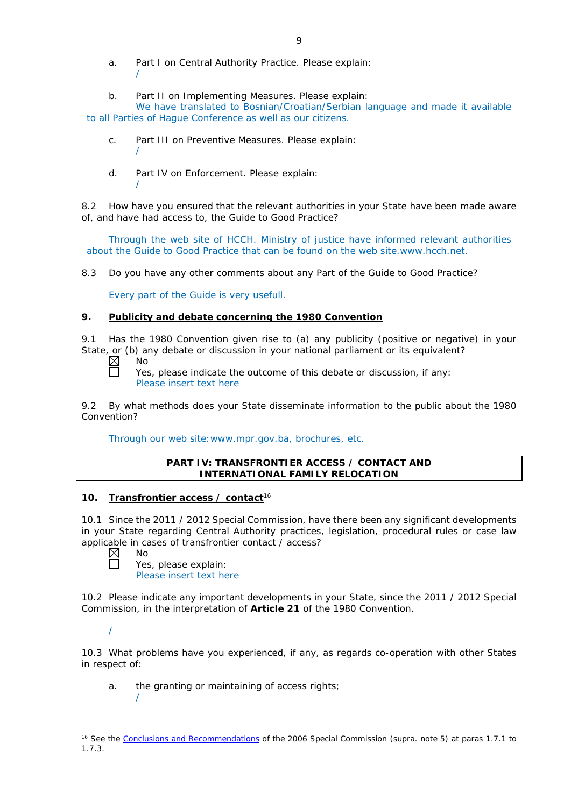- a. Part I on Central Authority Practice. Please explain: /
- b. Part II on Implementing Measures. Please explain:

We have translated to Bosnian/Croatian/Serbian language and made it available to all Parties of Hague Conference as well as our citizens.

- c. Part III on Preventive Measures. Please explain: /
- d. Part IV on Enforcement. Please explain: /

8.2 How have you ensured that the relevant authorities in your State have been made aware of, and have had access to, the Guide to Good Practice?

Through the web site of HCCH. Ministry of justice have informed relevant authorities about the Guide to Good Practice that can be found on the web site.www.hcch.net.

8.3 Do you have any other comments about any Part of the Guide to Good Practice?

Every part of the Guide is very usefull.

## **9. Publicity and debate concerning the 1980 Convention**

9.1 Has the 1980 Convention given rise to (a) any publicity (positive or negative) in your State, or (b) any debate or discussion in your national parliament or its equivalent?<br>  $\boxtimes$  No<br>  $\Box$  Yes, please indicate the outcome of this debate or discussion, if any:

No

Yes, please indicate the outcome of this debate or discussion, if any: Please insert text here

9.2 By what methods does your State disseminate information to the public about the 1980 Convention?

Through our web site:www.mpr.gov.ba, brochures, etc.

## **PART IV: TRANSFRONTIER ACCESS / CONTACT AND INTERNATIONAL FAMILY RELOCATION**

## **10. Transfrontier access / contact**<sup>16</sup>

10.1 Since the 2011 / 2012 Special Commission, have there been any significant developments in your State regarding Central Authority practices, legislation, procedural rules or case law applicable in cases of transfrontier contact / access?

 $\boxtimes$ No

/

Yes, please explain: Please insert text here

10.2 Please indicate any important developments in your State, since the 2011 / 2012 Special Commission, in the interpretation of **Article 21** of the 1980 Convention.

/

10.3 What problems have you experienced, if any, as regards co-operation with other States in respect of:

a. the granting or maintaining of access rights;

<sup>-</sup><sup>16</sup> See the [Conclusions and Recommendations](https://assets.hcch.net/upload/concl28sc5_e.pdf) of the 2006 Special Commission (*supra*. note 5) at paras 1.7.1 to 1.7.3.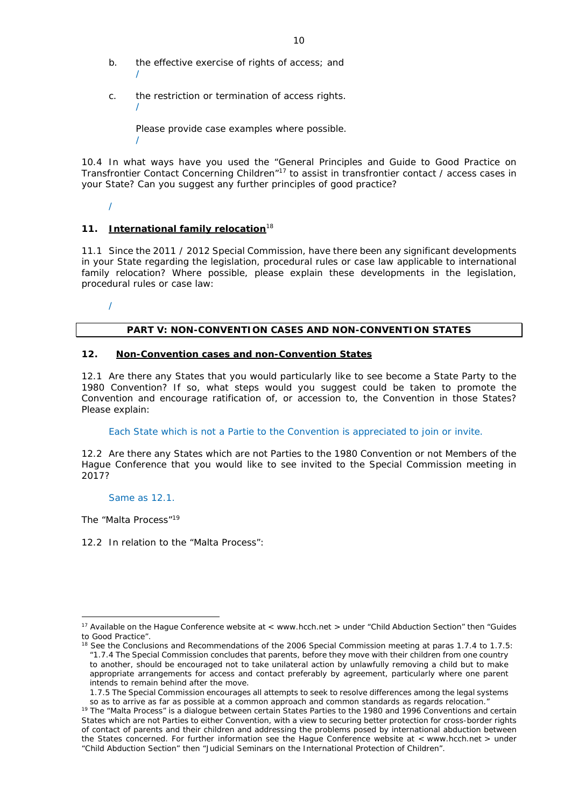- b. the effective exercise of rights of access; and /
- c. the restriction or termination of access rights. /

Please provide case examples where possible.

10.4 In what ways have you used the "General Principles and Guide to Good Practice on Transfrontier Contact Concerning Children"17 to assist in transfrontier contact / access cases in your State? Can you suggest any further principles of good practice?

/

/

# **11. International family relocation**<sup>18</sup>

11.1 Since the 2011 / 2012 Special Commission, have there been any significant developments in your State regarding the legislation, procedural rules or case law applicable to international family relocation? Where possible, please explain these developments in the legislation, procedural rules or case law:

/

## **PART V: NON-CONVENTION CASES AND NON-CONVENTION STATES**

### **12. Non-Convention cases and non-Convention States**

12.1 Are there any States that you would particularly like to see become a State Party to the 1980 Convention? If so, what steps would you suggest could be taken to promote the Convention and encourage ratification of, or accession to, the Convention in those States? Please explain:

Each State which is not a Partie to the Convention is appreciated to join or invite.

12.2 Are there any States which are not Parties to the 1980 Convention or not Members of the Hague Conference that you would like to see invited to the Special Commission meeting in 2017?

#### Same as 12.1.

*The "Malta Process"*<sup>19</sup>

<u>.</u>

12.2 In relation to the "Malta Process":

<sup>&</sup>lt;sup>17</sup> Available on the Hague Conference website at < www.hcch.net > under "Child Abduction Section" then "Guides to Good Practice".

<sup>&</sup>lt;sup>18</sup> See the Conclusions and Recommendations of the 2006 Special Commission meeting at paras 1.7.4 to 1.7.5: *"*1.7.4 The Special Commission concludes that parents, before they move with their children from one country to another, should be encouraged not to take unilateral action by unlawfully removing a child but to make appropriate arrangements for access and contact preferably by agreement, particularly where one parent intends to remain behind after the move.

<sup>1.7.5</sup> The Special Commission encourages all attempts to seek to resolve differences among the legal systems so as to arrive as far as possible at a common approach and common standards as regards relocation."

<sup>&</sup>lt;sup>19</sup> The "Malta Process" is a dialogue between certain States Parties to the 1980 and 1996 Conventions and certain States which are not Parties to either Convention, with a view to securing better protection for cross-border rights of contact of parents and their children and addressing the problems posed by international abduction between the States concerned. For further information see the Hague Conference website at < www.hcch.net > under "Child Abduction Section" then "Judicial Seminars on the International Protection of Children".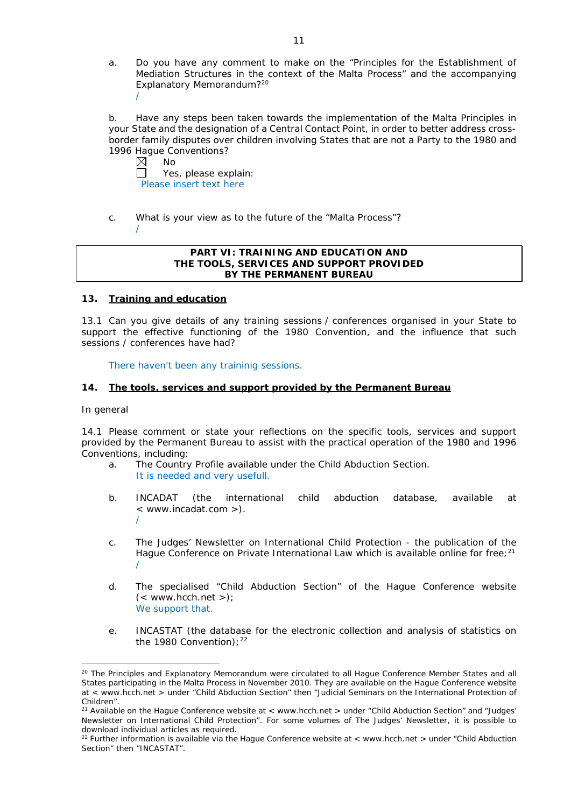a. Do you have any comment to make on the "Principles for the Establishment of Mediation Structures in the context of the Malta Process" and the accompanying Explanatory Memorandum?20 /

b. Have any steps been taken towards the implementation of the Malta Principles in your State and the designation of a Central Contact Point, in order to better address crossborder family disputes over children involving States that are not a Party to the 1980 and 1996 Hague Conventions?

No  $\Box$ Yes, please explain: Please insert text here

c. What is your view as to the future of the "Malta Process"? /

### **PART VI: TRAINING AND EDUCATION AND THE TOOLS, SERVICES AND SUPPORT PROVIDED BY THE PERMANENT BUREAU**

## **13. Training and education**

13.1 Can you give details of any training sessions / conferences organised in your State to support the effective functioning of the 1980 Convention, and the influence that such sessions / conferences have had?

There haven't been any traininig sessions.

## **14. The tools, services and support provided by the Permanent Bureau**

#### *In general*

<u>.</u>

14.1 Please comment or state your reflections on the specific tools, services and support provided by the Permanent Bureau to assist with the practical operation of the 1980 and 1996 Conventions, including:

- a. The Country Profile available under the Child Abduction Section. It is needed and very usefull.
- b. INCADAT (the international child abduction database, available at < www.incadat.com >). /
- c. *The Judges' Newsletter* on International Child Protection the publication of the Hague Conference on Private International Law which is available online for free;<sup>21</sup> /
- d. The specialised "Child Abduction Section" of the Hague Conference website  $(<$  www.hcch.net >); We support that.
- e. INCASTAT (the database for the electronic collection and analysis of statistics on the 1980 Convention);  $22$

<sup>&</sup>lt;sup>20</sup> The Principles and Explanatory Memorandum were circulated to all Hague Conference Member States and all States participating in the Malta Process in November 2010. They are available on the Hague Conference website at < www.hcch.net > under "Child Abduction Section" then "Judicial Seminars on the International Protection of Children".

<sup>&</sup>lt;sup>21</sup> Available on the Hague Conference website at < www.hcch.net > under "Child Abduction Section" and "Judges' Newsletter on International Child Protection". For some volumes of *The Judges' Newsletter*, it is possible to download individual articles as required.

<sup>&</sup>lt;sup>22</sup> Further information is available via the Hague Conference website at < www.hcch.net > under "Child Abduction" Section" then "INCASTAT".